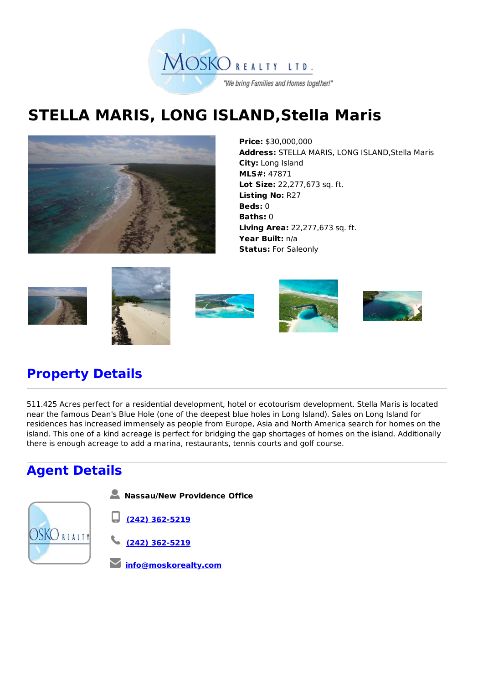

## **STELLA MARIS, LONG ISLAND,Stella Maris**



**Price:** \$30,000,000 **Address:** STELLA MARIS, LONG ISLAND,Stella Maris **City:** Long Island **MLS#:** 47871 **Lot Size:** 22,277,673 sq. ft. **Listing No:** R27 **Beds:** 0 **Baths:** 0 **Living Area:** 22,277,673 sq. ft. **Year Built:** n/a **Status:** For Saleonly











## **Property Details**

511.425 Acres perfect for a residential development, hotel or ecotourism development. Stella Maris is located near the famous Dean's Blue Hole (one of the deepest blue holes in Long Island). Sales on Long Island for residences has increased immensely as people from Europe, Asia and North America search for homes on the island. This one of a kind acreage is perfect for bridging the gap shortages of homes on the island. Additionally there is enough acreage to add a marina, restaurants, tennis courts and golf course.

## **Agent Details**

**Nassau/New Providence Office**